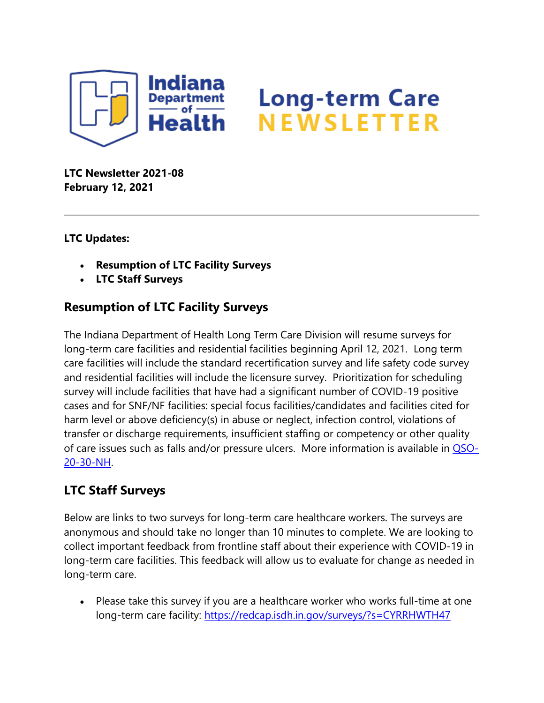

## **Long-term Care** NEWSLETTER

**LTC Newsletter 2021-08 February 12, 2021**

## **LTC Updates:**

- **Resumption of LTC Facility Surveys**
- **LTC Staff Surveys**

## **Resumption of LTC Facility Surveys**

The Indiana Department of Health Long Term Care Division will resume surveys for long-term care facilities and residential facilities beginning April 12, 2021. Long term care facilities will include the standard recertification survey and life safety code survey and residential facilities will include the licensure survey. Prioritization for scheduling survey will include facilities that have had a significant number of COVID-19 positive cases and for SNF/NF facilities: special focus facilities/candidates and facilities cited for harm level or above deficiency(s) in abuse or neglect, infection control, violations of transfer or discharge requirements, insufficient staffing or competency or other quality of care issues such as falls and/or pressure ulcers. More information is available in [QSO-](https://content.govdelivery.com/attachments/INSDH/2021/02/12/file_attachments/1692833/QSO-20-30-NH%20Reopening%205-17-2020.pdf)[20-30-NH.](https://content.govdelivery.com/attachments/INSDH/2021/02/12/file_attachments/1692833/QSO-20-30-NH%20Reopening%205-17-2020.pdf)

## **LTC Staff Surveys**

Below are links to two surveys for long-term care healthcare workers. The surveys are anonymous and should take no longer than 10 minutes to complete. We are looking to collect important feedback from frontline staff about their experience with COVID-19 in long-term care facilities. This feedback will allow us to evaluate for change as needed in long-term care.

• Please take this survey if you are a healthcare worker who works full-time at one long-term care facility:<https://redcap.isdh.in.gov/surveys/?s=CYRRHWTH47>